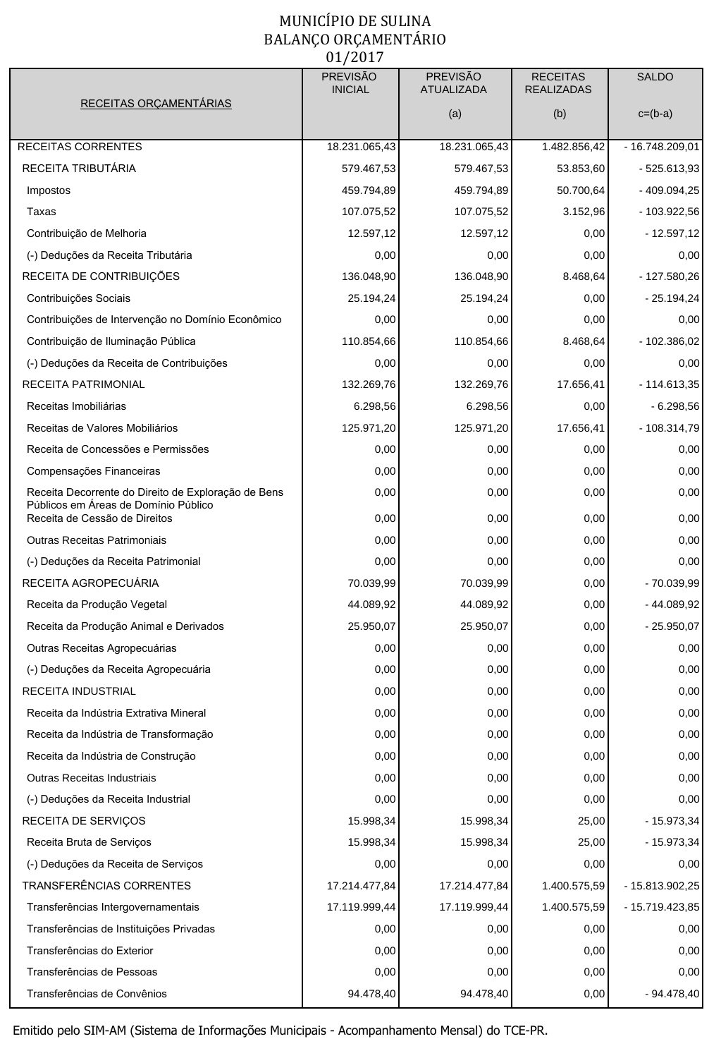## MUNICÍPIO DE SULINA BALANÇO ORÇAMENTÁRIO  $01/2017$

|                                                                       | <b>PREVISÃO</b><br><b>INICIAL</b> | <b>PREVISÃO</b><br><b>ATUALIZADA</b> | <b>RECEITAS</b><br><b>REALIZADAS</b> | <b>SALDO</b>    |
|-----------------------------------------------------------------------|-----------------------------------|--------------------------------------|--------------------------------------|-----------------|
| RECEITAS ORÇAMENTÁRIAS                                                |                                   | (a)                                  | (b)                                  | $c=(b-a)$       |
|                                                                       |                                   |                                      |                                      |                 |
| <b>RECEITAS CORRENTES</b>                                             | 18.231.065,43                     | 18.231.065,43                        | 1.482.856,42                         | - 16.748.209,01 |
| RECEITA TRIBUTÁRIA                                                    | 579.467,53                        | 579.467,53                           | 53.853,60                            | $-525.613,93$   |
| Impostos                                                              | 459.794,89                        | 459.794,89                           | 50.700,64                            | $-409.094,25$   |
| Taxas                                                                 | 107.075,52                        | 107.075,52                           | 3.152,96                             | - 103.922,56    |
| Contribuição de Melhoria                                              | 12.597,12                         | 12.597,12                            | 0,00                                 | - 12.597,12     |
| (-) Deduções da Receita Tributária                                    | 0,00                              | 0,00                                 | 0,00                                 | 0,00            |
| RECEITA DE CONTRIBUIÇÕES                                              | 136.048,90                        | 136.048,90                           | 8.468,64                             | - 127.580,26    |
| Contribuições Sociais                                                 | 25.194,24                         | 25.194,24                            | 0,00                                 | $-25.194,24$    |
| Contribuições de Intervenção no Domínio Econômico                     | 0,00                              | 0,00                                 | 0,00                                 | 0,00            |
| Contribuição de Iluminação Pública                                    | 110.854,66                        | 110.854,66                           | 8.468,64                             | $-102.386.02$   |
| (-) Deduções da Receita de Contribuições                              | 0,00                              | 0,00                                 | 0,00                                 | 0,00            |
| RECEITA PATRIMONIAL                                                   | 132.269,76                        | 132.269,76                           | 17.656,41                            | $-114.613,35$   |
| Receitas Imobiliárias                                                 | 6.298,56                          | 6.298,56                             | 0,00                                 | $-6.298,56$     |
| Receitas de Valores Mobiliários                                       | 125.971,20                        | 125.971,20                           | 17.656,41                            | $-108.314.79$   |
| Receita de Concessões e Permissões                                    | 0,00                              | 0,00                                 | 0,00                                 | 0,00            |
| Compensações Financeiras                                              | 0,00                              | 0,00                                 | 0,00                                 | 0,00            |
| Receita Decorrente do Direito de Exploração de Bens                   | 0,00                              | 0,00                                 | 0,00                                 | 0,00            |
| Públicos em Áreas de Domínio Público<br>Receita de Cessão de Direitos | 0,00                              | 0,00                                 | 0,00                                 | 0,00            |
| Outras Receitas Patrimoniais                                          | 0,00                              | 0,00                                 | 0,00                                 | 0,00            |
| (-) Deduções da Receita Patrimonial                                   | 0,00                              | 0,00                                 | 0,00                                 | 0,00            |
| RECEITA AGROPECUARIA                                                  | 70.039,99                         | 70.039,99                            | 0,00                                 | - 70.039,99     |
| Receita da Produção Vegetal                                           | 44.089,92                         | 44.089,92                            | 0,00                                 | - 44.089,92     |
| Receita da Produção Animal e Derivados                                | 25.950,07                         | 25.950,07                            | 0,00                                 | $-25.950,07$    |
| Outras Receitas Agropecuárias                                         | 0,00                              | 0,00                                 | 0,00                                 | 0,00            |
| (-) Deduções da Receita Agropecuária                                  | 0,00                              | 0,00                                 | 0,00                                 | 0,00            |
| RECEITA INDUSTRIAL                                                    | 0,00                              | 0,00                                 | 0,00                                 | 0,00            |
| Receita da Indústria Extrativa Mineral                                | 0,00                              | 0,00                                 | 0,00                                 | 0,00            |
| Receita da Indústria de Transformação                                 | 0,00                              | 0,00                                 | 0,00                                 | 0,00            |
| Receita da Indústria de Construção                                    | 0,00                              | 0,00                                 | 0,00                                 | 0,00            |
| Outras Receitas Industriais                                           | 0,00                              | 0,00                                 | 0,00                                 | 0,00            |
| (-) Deduções da Receita Industrial                                    | 0,00                              | 0,00                                 | 0,00                                 | 0,00            |
| RECEITA DE SERVIÇOS                                                   | 15.998,34                         | 15.998,34                            | 25,00                                | $-15.973,34$    |
| Receita Bruta de Serviços                                             | 15.998,34                         | 15.998,34                            | 25,00                                | - 15.973,34     |
| (-) Deduções da Receita de Serviços                                   | 0,00                              | 0,00                                 | 0,00                                 | 0,00            |
| TRANSFERÊNCIAS CORRENTES                                              | 17.214.477,84                     | 17.214.477,84                        | 1.400.575,59                         | - 15.813.902,25 |
| Transferências Intergovernamentais                                    | 17.119.999,44                     | 17.119.999,44                        | 1.400.575,59                         | - 15.719.423,85 |
| Transferências de Instituições Privadas                               | 0,00                              | 0,00                                 | 0,00                                 | 0,00            |
| Transferências do Exterior                                            | 0,00                              | 0,00                                 | 0,00                                 | 0,00            |
| Transferências de Pessoas                                             | 0,00                              | 0,00                                 | 0,00                                 | 0,00            |
| Transferências de Convênios                                           | 94.478,40                         | 94.478,40                            | 0,00                                 | - 94.478,40     |
|                                                                       |                                   |                                      |                                      |                 |

Emitido pelo SIM-AM (Sistema de Informações Municipais - Acompanhamento Mensal) do TCE-PR.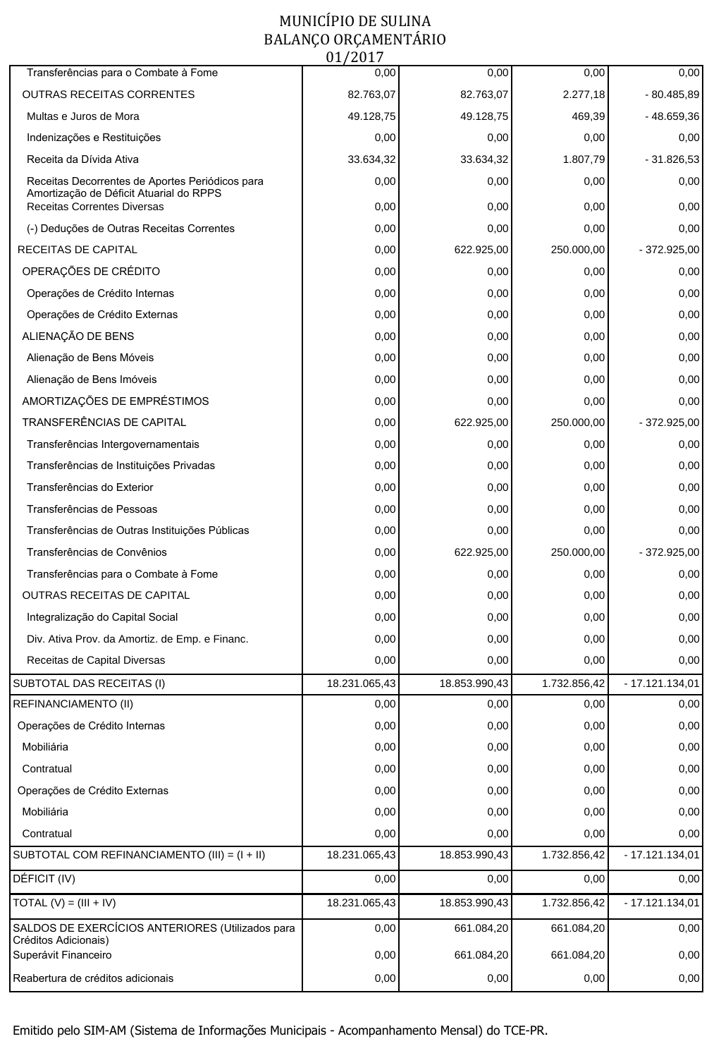## MUNICÍPIO DE SULINA BALANÇO ORÇAMENTÁRIO<br>01/2017

| Transferências para o Combate à Fome                                                       | 0,00          | 0,00          | 0,00         | 0,00             |
|--------------------------------------------------------------------------------------------|---------------|---------------|--------------|------------------|
| OUTRAS RECEITAS CORRENTES                                                                  | 82.763,07     | 82.763,07     | 2.277,18     | $-80.485,89$     |
| Multas e Juros de Mora                                                                     | 49.128,75     | 49.128,75     | 469,39       | -48.659,36       |
| Indenizações e Restituições                                                                | 0,00          | 0,00          | 0,00         | 0,00             |
| Receita da Dívida Ativa                                                                    | 33.634,32     | 33.634,32     | 1.807,79     | $-31.826,53$     |
| Receitas Decorrentes de Aportes Periódicos para<br>Amortização de Déficit Atuarial do RPPS | 0,00          | 0,00          | 0,00         | 0,00             |
| <b>Receitas Correntes Diversas</b>                                                         | 0,00          | 0,00          | 0,00         | 0,00             |
| (-) Deduções de Outras Receitas Correntes                                                  | 0,00          | 0,00          | 0,00         | 0,00             |
| RECEITAS DE CAPITAL                                                                        | 0,00          | 622.925,00    | 250.000,00   | $-372.925,00$    |
| OPERAÇÕES DE CRÉDITO                                                                       | 0,00          | 0,00          | 0,00         | 0,00             |
| Operações de Crédito Internas                                                              | 0,00          | 0,00          | 0,00         | 0,00             |
| Operações de Crédito Externas                                                              | 0,00          | 0,00          | 0,00         | 0,00             |
| ALIENAÇÃO DE BENS                                                                          | 0,00          | 0,00          | 0,00         | 0,00             |
| Alienação de Bens Móveis                                                                   | 0,00          | 0,00          | 0,00         | 0,00             |
| Alienação de Bens Imóveis                                                                  | 0,00          | 0,00          | 0,00         | 0,00             |
| AMORTIZAÇÕES DE EMPRÉSTIMOS                                                                | 0,00          | 0,00          | 0,00         | 0,00             |
| TRANSFERÊNCIAS DE CAPITAL                                                                  | 0,00          | 622.925,00    | 250.000,00   | - 372.925,00     |
| Transferências Intergovernamentais                                                         | 0,00          | 0,00          | 0,00         | 0,00             |
| Transferências de Instituições Privadas                                                    | 0,00          | 0,00          | 0,00         | 0,00             |
| Transferências do Exterior                                                                 | 0,00          | 0,00          | 0,00         | 0,00             |
| Transferências de Pessoas                                                                  | 0,00          | 0,00          | 0,00         | 0,00             |
| Transferências de Outras Instituições Públicas                                             | 0,00          | 0,00          | 0,00         | 0,00             |
| Transferências de Convênios                                                                | 0,00          | 622.925,00    | 250.000,00   | - 372.925,00     |
| Transferências para o Combate à Fome                                                       | 0,00          | 0,00          | 0,00         | 0,00             |
| OUTRAS RECEITAS DE CAPITAL                                                                 | 0,00          | 0,00          | 0,00         | 0,00             |
| Integralização do Capital Social                                                           | 0,00          | 0,00          | 0,00         | 0,00             |
| Div. Ativa Prov. da Amortiz. de Emp. e Financ.                                             | 0,00          | 0,00          | 0,00         | 0,00             |
| Receitas de Capital Diversas                                                               | 0,00          | 0,00          | 0,00         | 0,00             |
| SUBTOTAL DAS RECEITAS (I)                                                                  | 18.231.065,43 | 18.853.990,43 | 1.732.856,42 | - 17.121.134,01  |
| REFINANCIAMENTO (II)                                                                       | 0,00          | 0,00          | 0,00         | 0,00             |
| Operações de Crédito Internas                                                              | 0,00          | 0,00          | 0,00         | 0,00             |
| Mobiliária                                                                                 | 0,00          | 0,00          | 0,00         | 0,00             |
| Contratual                                                                                 | 0,00          | 0,00          | 0,00         | 0,00             |
| Operações de Crédito Externas                                                              | 0,00          | 0,00          | 0,00         | 0,00             |
| Mobiliária                                                                                 | 0,00          | 0,00          | 0,00         | 0,00             |
| Contratual                                                                                 | 0,00          | 0,00          | 0,00         | 0,00             |
| SUBTOTAL COM REFINANCIAMENTO (III) = $(I + II)$                                            | 18.231.065,43 | 18.853.990,43 | 1.732.856,42 | $-17.121.134,01$ |
| DÉFICIT (IV)                                                                               | 0,00          | 0,00          | 0,00         | 0,00             |
| TOTAL $(V) = (III + IV)$                                                                   | 18.231.065,43 | 18.853.990,43 | 1.732.856,42 | $-17.121.134,01$ |
| SALDOS DE EXERCÍCIOS ANTERIORES (Utilizados para                                           | 0,00          | 661.084,20    | 661.084,20   | 0,00             |
| Créditos Adicionais)<br>Superávit Financeiro                                               | 0,00          | 661.084,20    | 661.084,20   | 0,00             |
| Reabertura de créditos adicionais                                                          | 0,00          | 0,00          | 0,00         | 0,00             |

Emitido pelo SIM-AM (Sistema de Informações Municipais - Acompanhamento Mensal) do TCE-PR.